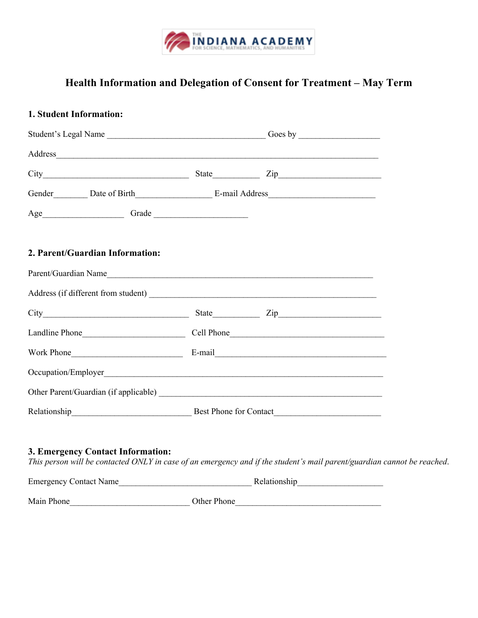

## **Health Information and Delegation of Consent for Treatment – May Term**

| 1. Student Information:                                                                                                                                      |             |  |  |
|--------------------------------------------------------------------------------------------------------------------------------------------------------------|-------------|--|--|
|                                                                                                                                                              |             |  |  |
|                                                                                                                                                              |             |  |  |
| $City$ $City$ $Step$ $Zip$                                                                                                                                   |             |  |  |
|                                                                                                                                                              |             |  |  |
|                                                                                                                                                              |             |  |  |
| 2. Parent/Guardian Information:                                                                                                                              |             |  |  |
| Parent/Guardian Name                                                                                                                                         |             |  |  |
|                                                                                                                                                              |             |  |  |
|                                                                                                                                                              |             |  |  |
|                                                                                                                                                              |             |  |  |
|                                                                                                                                                              |             |  |  |
|                                                                                                                                                              |             |  |  |
|                                                                                                                                                              |             |  |  |
| Relationship Best Phone for Contact                                                                                                                          |             |  |  |
| 3. Emergency Contact Information:<br>This person will be contacted ONLY in case of an emergency and if the student's mail parent/guardian cannot be reached. |             |  |  |
|                                                                                                                                                              |             |  |  |
| Main Phone                                                                                                                                                   | Other Phone |  |  |